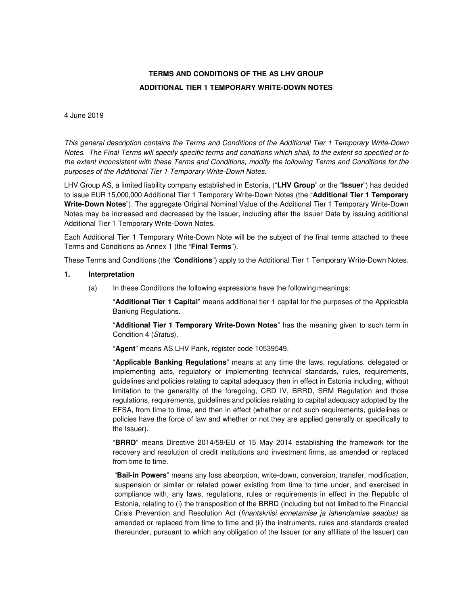# **TERMS AND CONDITIONS OF THE AS LHV GROUP ADDITIONAL TIER 1 TEMPORARY WRITE-DOWN NOTES**

#### 4 June 2019

This general description contains the Terms and Conditions of the Additional Tier 1 Temporary Write-Down Notes. The Final Terms will specify specific terms and conditions which shall, to the extent so specified or to the extent inconsistent with these Terms and Conditions, modify the following Terms and Conditions for the purposes of the Additional Tier 1 Temporary Write-Down Notes.

LHV Group AS, a limited liability company established in Estonia, ("**LHV Group**" or the "**Issuer**") has decided to issue EUR 15,000,000 Additional Tier 1 Temporary Write-Down Notes (the "**Additional Tier 1 Temporary Write-Down Notes**"). The aggregate Original Nominal Value of the Additional Tier 1 Temporary Write-Down Notes may be increased and decreased by the Issuer, including after the Issuer Date by issuing additional Additional Tier 1 Temporary Write-Down Notes.

Each Additional Tier 1 Temporary Write-Down Note will be the subject of the final terms attached to these Terms and Conditions as Annex 1 (the "**Final Terms**").

These Terms and Conditions (the "**Conditions**") apply to the Additional Tier 1 Temporary Write-Down Notes.

## **1. Interpretation**

(a) In these Conditions the following expressions have the following meanings:

"**Additional Tier 1 Capital**" means additional tier 1 capital for the purposes of the Applicable Banking Regulations.

"**Additional Tier 1 Temporary Write-Down Notes**" has the meaning given to such term in Condition 4 (Status).

"**Agent**" means AS LHV Pank, register code 10539549.

"**Applicable Banking Regulations**" means at any time the laws, regulations, delegated or implementing acts, regulatory or implementing technical standards, rules, requirements, guidelines and policies relating to capital adequacy then in effect in Estonia including, without limitation to the generality of the foregoing, CRD IV, BRRD, SRM Regulation and those regulations, requirements, guidelines and policies relating to capital adequacy adopted by the EFSA, from time to time, and then in effect (whether or not such requirements, guidelines or policies have the force of law and whether or not they are applied generally or specifically to the Issuer).

"**BRRD**" means Directive 2014/59/EU of 15 May 2014 establishing the framework for the recovery and resolution of credit institutions and investment firms, as amended or replaced from time to time.

"**Bail-in Powers**" means any loss absorption, write-down, conversion, transfer, modification, suspension or similar or related power existing from time to time under, and exercised in compliance with, any laws, regulations, rules or requirements in effect in the Republic of Estonia, relating to (i) the transposition of the BRRD (including but not limited to the Financial Crisis Prevention and Resolution Act (finantskriisi ennetamise ja lahendamise seadus) as amended or replaced from time to time and (ii) the instruments, rules and standards created thereunder, pursuant to which any obligation of the Issuer (or any affiliate of the Issuer) can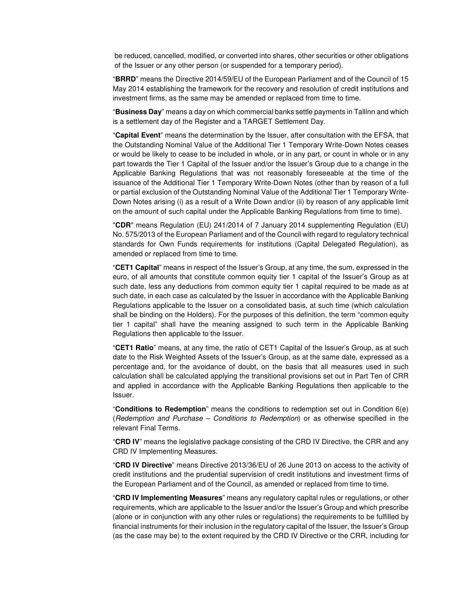be reduced, cancelled, modified, or converted into shares, other securities or other obligations of the Issuer or any other person (or suspended for a temporary period).

"**BRRD**" means the Directive 2014/59/EU of the European Parliament and of the Council of 15 May 2014 establishing the framework for the recovery and resolution of credit institutions and investment firms, as the same may be amended or replaced from time to time.

"**Business Day**" means a day on which commercial banks settle payments in Tallinn and which is a settlement day of the Register and a TARGET Settlement Day.

"**Capital Event**" means the determination by the Issuer, after consultation with the EFSA, that the Outstanding Nominal Value of the Additional Tier 1 Temporary Write-Down Notes ceases or would be likely to cease to be included in whole, or in any part, or count in whole or in any part towards the Tier 1 Capital of the Issuer and/or the Issuer's Group due to a change in the Applicable Banking Regulations that was not reasonably foreseeable at the time of the issuance of the Additional Tier 1 Temporary Write-Down Notes (other than by reason of a full or partial exclusion of the Outstanding Nominal Value of the Additional Tier 1 Temporary Write-Down Notes arising (i) as a result of a Write Down and/or (ii) by reason of any applicable limit on the amount of such capital under the Applicable Banking Regulations from time to time).

"**CDR**" means Regulation (EU) 241/2014 of 7 January 2014 supplementing Regulation (EU) No. 575/2013 of the European Parliament and of the Council with regard to regulatory technical standards for Own Funds requirements for institutions (Capital Delegated Regulation), as amended or replaced from time to time.

"**CET1 Capital**" means in respect of the Issuer's Group, at any time, the sum, expressed in the euro, of all amounts that constitute common equity tier 1 capital of the Issuer's Group as at such date, less any deductions from common equity tier 1 capital required to be made as at such date, in each case as calculated by the Issuer in accordance with the Applicable Banking Regulations applicable to the Issuer on a consolidated basis, at such time (which calculation shall be binding on the Holders). For the purposes of this definition, the term "common equity tier 1 capital" shall have the meaning assigned to such term in the Applicable Banking Regulations then applicable to the Issuer.

"**CET1 Ratio**" means, at any time, the ratio of CET1 Capital of the Issuer's Group, as at such date to the Risk Weighted Assets of the Issuer's Group, as at the same date, expressed as a percentage and, for the avoidance of doubt, on the basis that all measures used in such calculation shall be calculated applying the transitional provisions set out in Part Ten of CRR and applied in accordance with the Applicable Banking Regulations then applicable to the Issuer.

"**Conditions to Redemption**" means the conditions to redemption set out in Condition 6(e) (Redemption and Purchase – Conditions to Redemption) or as otherwise specified in the relevant Final Terms.

"**CRD IV**" means the legislative package consisting of the CRD IV Directive, the CRR and any CRD IV Implementing Measures.

"**CRD IV Directive**" means Directive 2013/36/EU of 26 June 2013 on access to the activity of credit institutions and the prudential supervision of credit institutions and investment firms of the European Parliament and of the Council, as amended or replaced from time to time.

"**CRD IV Implementing Measures**" means any regulatory capital rules or regulations, or other requirements, which are applicable to the Issuer and/or the Issuer's Group and which prescribe (alone or in conjunction with any other rules or regulations) the requirements to be fulfilled by financial instruments for their inclusion in the regulatory capital of the Issuer, the Issuer's Group (as the case may be) to the extent required by the CRD IV Directive or the CRR, including for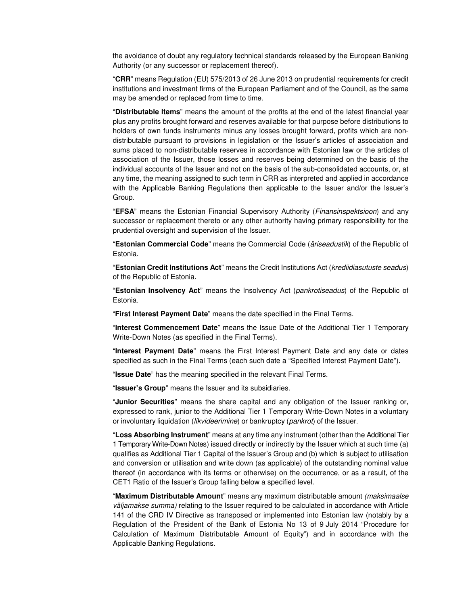the avoidance of doubt any regulatory technical standards released by the European Banking Authority (or any successor or replacement thereof).

"**CRR**" means Regulation (EU) 575/2013 of 26 June 2013 on prudential requirements for credit institutions and investment firms of the European Parliament and of the Council, as the same may be amended or replaced from time to time.

"**Distributable Items**" means the amount of the profits at the end of the latest financial year plus any profits brought forward and reserves available for that purpose before distributions to holders of own funds instruments minus any losses brought forward, profits which are nondistributable pursuant to provisions in legislation or the Issuer's articles of association and sums placed to non-distributable reserves in accordance with Estonian law or the articles of association of the Issuer, those losses and reserves being determined on the basis of the individual accounts of the Issuer and not on the basis of the sub-consolidated accounts, or, at any time, the meaning assigned to such term in CRR as interpreted and applied in accordance with the Applicable Banking Regulations then applicable to the Issuer and/or the Issuer's Group.

"**EFSA**" means the Estonian Financial Supervisory Authority (Finansinspektsioon) and any successor or replacement thereto or any other authority having primary responsibility for the prudential oversight and supervision of the Issuer.

"**Estonian Commercial Code**" means the Commercial Code (äriseadustik) of the Republic of Estonia.

"**Estonian Credit Institutions Act**" means the Credit Institutions Act (krediidiasutuste seadus) of the Republic of Estonia.

"**Estonian Insolvency Act**" means the Insolvency Act (pankrotiseadus) of the Republic of Estonia.

"**First Interest Payment Date**" means the date specified in the Final Terms.

"**Interest Commencement Date**" means the Issue Date of the Additional Tier 1 Temporary Write-Down Notes (as specified in the Final Terms).

"**Interest Payment Date**" means the First Interest Payment Date and any date or dates specified as such in the Final Terms (each such date a "Specified Interest Payment Date").

"**Issue Date**" has the meaning specified in the relevant Final Terms.

"**Issuer's Group**" means the Issuer and its subsidiaries.

"**Junior Securities**" means the share capital and any obligation of the Issuer ranking or, expressed to rank, junior to the Additional Tier 1 Temporary Write-Down Notes in a voluntary or involuntary liquidation (likvideerimine) or bankruptcy (pankrot) of the Issuer.

"**Loss Absorbing Instrument**" means at any time any instrument (other than the Additional Tier 1 Temporary Write-Down Notes) issued directly or indirectly by the Issuer which at such time (a) qualifies as Additional Tier 1 Capital of the Issuer's Group and (b) which is subject to utilisation and conversion or utilisation and write down (as applicable) of the outstanding nominal value thereof (in accordance with its terms or otherwise) on the occurrence, or as a result, of the CET1 Ratio of the Issuer's Group falling below a specified level.

"**Maximum Distributable Amount**" means any maximum distributable amount (maksimaalse väljamakse summa) relating to the Issuer required to be calculated in accordance with Article 141 of the CRD IV Directive as transposed or implemented into Estonian law (notably by a Regulation of the President of the Bank of Estonia No 13 of 9 July 2014 "Procedure for Calculation of Maximum Distributable Amount of Equity") and in accordance with the Applicable Banking Regulations.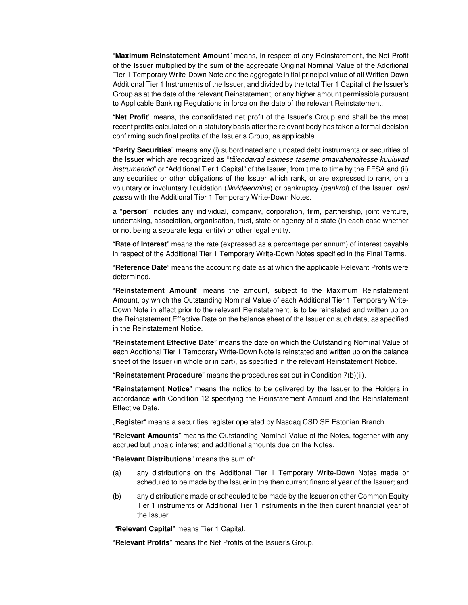"**Maximum Reinstatement Amount**" means, in respect of any Reinstatement, the Net Profit of the Issuer multiplied by the sum of the aggregate Original Nominal Value of the Additional Tier 1 Temporary Write-Down Note and the aggregate initial principal value of all Written Down Additional Tier 1 Instruments of the Issuer, and divided by the total Tier 1 Capital of the Issuer's Group as at the date of the relevant Reinstatement, or any higher amount permissible pursuant to Applicable Banking Regulations in force on the date of the relevant Reinstatement.

"**Net Profit**" means, the consolidated net profit of the Issuer's Group and shall be the most recent profits calculated on a statutory basis after the relevant body has taken a formal decision confirming such final profits of the Issuer's Group, as applicable.

"**Parity Securities**" means any (i) subordinated and undated debt instruments or securities of the Issuer which are recognized as "täiendavad esimese taseme omavahenditesse kuuluvad instrumendid" or "Additional Tier 1 Capital" of the Issuer, from time to time by the EFSA and (ii) any securities or other obligations of the Issuer which rank, or are expressed to rank, on a voluntary or involuntary liquidation (likvideerimine) or bankruptcy (pankrot) of the Issuer, pari passu with the Additional Tier 1 Temporary Write-Down Notes.

a "**person**" includes any individual, company, corporation, firm, partnership, joint venture, undertaking, association, organisation, trust, state or agency of a state (in each case whether or not being a separate legal entity) or other legal entity.

"**Rate of Interest**" means the rate (expressed as a percentage per annum) of interest payable in respect of the Additional Tier 1 Temporary Write-Down Notes specified in the Final Terms.

"**Reference Date**" means the accounting date as at which the applicable Relevant Profits were determined.

"**Reinstatement Amount**" means the amount, subject to the Maximum Reinstatement Amount, by which the Outstanding Nominal Value of each Additional Tier 1 Temporary Write-Down Note in effect prior to the relevant Reinstatement, is to be reinstated and written up on the Reinstatement Effective Date on the balance sheet of the Issuer on such date, as specified in the Reinstatement Notice.

"**Reinstatement Effective Date**" means the date on which the Outstanding Nominal Value of each Additional Tier 1 Temporary Write-Down Note is reinstated and written up on the balance sheet of the Issuer (in whole or in part), as specified in the relevant Reinstatement Notice.

"**Reinstatement Procedure**" means the procedures set out in Condition 7(b)(ii).

"**Reinstatement Notice**" means the notice to be delivered by the Issuer to the Holders in accordance with Condition 12 specifying the Reinstatement Amount and the Reinstatement Effective Date.

"**Register**" means a securities register operated by Nasdaq CSD SE Estonian Branch.

"**Relevant Amounts**" means the Outstanding Nominal Value of the Notes, together with any accrued but unpaid interest and additional amounts due on the Notes.

"**Relevant Distributions**" means the sum of:

- (a) any distributions on the Additional Tier 1 Temporary Write-Down Notes made or scheduled to be made by the Issuer in the then current financial year of the Issuer; and
- (b) any distributions made or scheduled to be made by the Issuer on other Common Equity Tier 1 instruments or Additional Tier 1 instruments in the then curent financial year of the Issuer.

"**Relevant Capital**" means Tier 1 Capital.

"**Relevant Profits**" means the Net Profits of the Issuer's Group.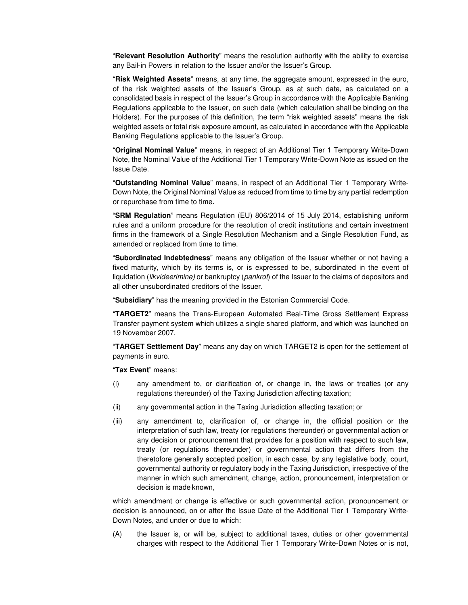"**Relevant Resolution Authority**" means the resolution authority with the ability to exercise any Bail-in Powers in relation to the Issuer and/or the Issuer's Group.

"**Risk Weighted Assets**" means, at any time, the aggregate amount, expressed in the euro, of the risk weighted assets of the Issuer's Group, as at such date, as calculated on a consolidated basis in respect of the Issuer's Group in accordance with the Applicable Banking Regulations applicable to the Issuer, on such date (which calculation shall be binding on the Holders). For the purposes of this definition, the term "risk weighted assets" means the risk weighted assets or total risk exposure amount, as calculated in accordance with the Applicable Banking Regulations applicable to the Issuer's Group.

"**Original Nominal Value**" means, in respect of an Additional Tier 1 Temporary Write-Down Note, the Nominal Value of the Additional Tier 1 Temporary Write-Down Note as issued on the Issue Date.

"**Outstanding Nominal Value**" means, in respect of an Additional Tier 1 Temporary Write-Down Note, the Original Nominal Value as reduced from time to time by any partial redemption or repurchase from time to time.

"**SRM Regulation**" means Regulation (EU) 806/2014 of 15 July 2014, establishing uniform rules and a uniform procedure for the resolution of credit institutions and certain investment firms in the framework of a Single Resolution Mechanism and a Single Resolution Fund, as amended or replaced from time to time.

"**Subordinated Indebtedness**" means any obligation of the Issuer whether or not having a fixed maturity, which by its terms is, or is expressed to be, subordinated in the event of liquidation (likvideerimine) or bankruptcy (pankrot) of the Issuer to the claims of depositors and all other unsubordinated creditors of the Issuer.

"**Subsidiary**" has the meaning provided in the Estonian Commercial Code.

"**TARGET2**" means the Trans-European Automated Real-Time Gross Settlement Express Transfer payment system which utilizes a single shared platform, and which was launched on 19 November 2007.

"**TARGET Settlement Day**" means any day on which TARGET2 is open for the settlement of payments in euro.

"**Tax Event**" means:

- (i) any amendment to, or clarification of, or change in, the laws or treaties (or any regulations thereunder) of the Taxing Jurisdiction affecting taxation;
- (ii) any governmental action in the Taxing Jurisdiction affecting taxation; or
- (iii) any amendment to, clarification of, or change in, the official position or the interpretation of such law, treaty (or regulations thereunder) or governmental action or any decision or pronouncement that provides for a position with respect to such law, treaty (or regulations thereunder) or governmental action that differs from the theretofore generally accepted position, in each case, by any legislative body, court, governmental authority or regulatory body in the Taxing Jurisdiction, irrespective of the manner in which such amendment, change, action, pronouncement, interpretation or decision is made known,

which amendment or change is effective or such governmental action, pronouncement or decision is announced, on or after the Issue Date of the Additional Tier 1 Temporary Write-Down Notes, and under or due to which:

(A) the Issuer is, or will be, subject to additional taxes, duties or other governmental charges with respect to the Additional Tier 1 Temporary Write-Down Notes or is not,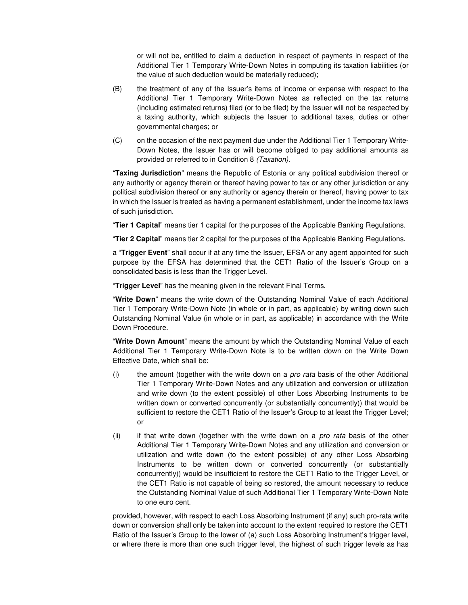or will not be, entitled to claim a deduction in respect of payments in respect of the Additional Tier 1 Temporary Write-Down Notes in computing its taxation liabilities (or the value of such deduction would be materially reduced);

- (B) the treatment of any of the Issuer's items of income or expense with respect to the Additional Tier 1 Temporary Write-Down Notes as reflected on the tax returns (including estimated returns) filed (or to be filed) by the Issuer will not be respected by a taxing authority, which subjects the Issuer to additional taxes, duties or other governmental charges; or
- (C) on the occasion of the next payment due under the Additional Tier 1 Temporary Write-Down Notes, the Issuer has or will become obliged to pay additional amounts as provided or referred to in Condition 8 (Taxation).

"**Taxing Jurisdiction**" means the Republic of Estonia or any political subdivision thereof or any authority or agency therein or thereof having power to tax or any other jurisdiction or any political subdivision thereof or any authority or agency therein or thereof, having power to tax in which the Issuer is treated as having a permanent establishment, under the income tax laws of such jurisdiction.

"**Tier 1 Capital**" means tier 1 capital for the purposes of the Applicable Banking Regulations.

"**Tier 2 Capital**" means tier 2 capital for the purposes of the Applicable Banking Regulations.

a "**Trigger Event**" shall occur if at any time the Issuer, EFSA or any agent appointed for such purpose by the EFSA has determined that the CET1 Ratio of the Issuer's Group on a consolidated basis is less than the Trigger Level.

"**Trigger Level**" has the meaning given in the relevant Final Terms.

"**Write Down**" means the write down of the Outstanding Nominal Value of each Additional Tier 1 Temporary Write-Down Note (in whole or in part, as applicable) by writing down such Outstanding Nominal Value (in whole or in part, as applicable) in accordance with the Write Down Procedure.

"**Write Down Amount**" means the amount by which the Outstanding Nominal Value of each Additional Tier 1 Temporary Write-Down Note is to be written down on the Write Down Effective Date, which shall be:

- $(i)$  the amount (together with the write down on a *pro rata* basis of the other Additional Tier 1 Temporary Write-Down Notes and any utilization and conversion or utilization and write down (to the extent possible) of other Loss Absorbing Instruments to be written down or converted concurrently (or substantially concurrently)) that would be sufficient to restore the CET1 Ratio of the Issuer's Group to at least the Trigger Level; or
- (ii) if that write down (together with the write down on a *pro rata* basis of the other Additional Tier 1 Temporary Write-Down Notes and any utilization and conversion or utilization and write down (to the extent possible) of any other Loss Absorbing Instruments to be written down or converted concurrently (or substantially concurrently)) would be insufficient to restore the CET1 Ratio to the Trigger Level, or the CET1 Ratio is not capable of being so restored, the amount necessary to reduce the Outstanding Nominal Value of such Additional Tier 1 Temporary Write-Down Note to one euro cent.

provided, however, with respect to each Loss Absorbing Instrument (if any) such pro-rata write down or conversion shall only be taken into account to the extent required to restore the CET1 Ratio of the Issuer's Group to the lower of (a) such Loss Absorbing Instrument's trigger level, or where there is more than one such trigger level, the highest of such trigger levels as has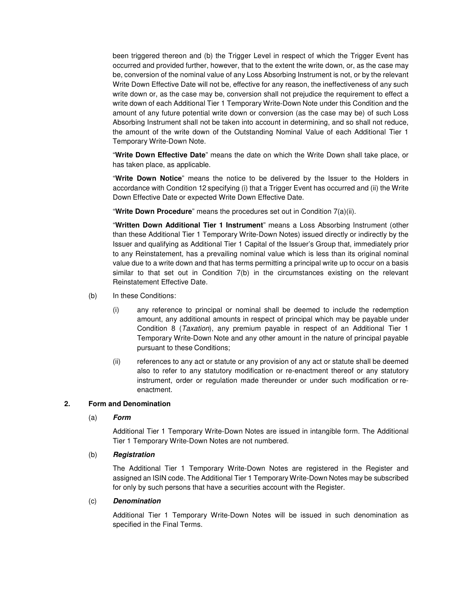been triggered thereon and (b) the Trigger Level in respect of which the Trigger Event has occurred and provided further, however, that to the extent the write down, or, as the case may be, conversion of the nominal value of any Loss Absorbing Instrument is not, or by the relevant Write Down Effective Date will not be, effective for any reason, the ineffectiveness of any such write down or, as the case may be, conversion shall not prejudice the requirement to effect a write down of each Additional Tier 1 Temporary Write-Down Note under this Condition and the amount of any future potential write down or conversion (as the case may be) of such Loss Absorbing Instrument shall not be taken into account in determining, and so shall not reduce, the amount of the write down of the Outstanding Nominal Value of each Additional Tier 1 Temporary Write-Down Note.

"**Write Down Effective Date**" means the date on which the Write Down shall take place, or has taken place, as applicable.

"**Write Down Notice**" means the notice to be delivered by the Issuer to the Holders in accordance with Condition 12 specifying (i) that a Trigger Event has occurred and (ii) the Write Down Effective Date or expected Write Down Effective Date.

"**Write Down Procedure**" means the procedures set out in Condition 7(a)(ii).

"**Written Down Additional Tier 1 Instrument**" means a Loss Absorbing Instrument (other than these Additional Tier 1 Temporary Write-Down Notes) issued directly or indirectly by the Issuer and qualifying as Additional Tier 1 Capital of the Issuer's Group that, immediately prior to any Reinstatement, has a prevailing nominal value which is less than its original nominal value due to a write down and that has terms permitting a principal write up to occur on a basis similar to that set out in Condition 7(b) in the circumstances existing on the relevant Reinstatement Effective Date.

- (b) In these Conditions:
	- (i) any reference to principal or nominal shall be deemed to include the redemption amount, any additional amounts in respect of principal which may be payable under Condition 8 (Taxation), any premium payable in respect of an Additional Tier 1 Temporary Write-Down Note and any other amount in the nature of principal payable pursuant to these Conditions;
	- (ii) references to any act or statute or any provision of any act or statute shall be deemed also to refer to any statutory modification or re-enactment thereof or any statutory instrument, order or regulation made thereunder or under such modification or reenactment.

## **2. Form and Denomination**

#### (a) **Form**

Additional Tier 1 Temporary Write-Down Notes are issued in intangible form. The Additional Tier 1 Temporary Write-Down Notes are not numbered.

#### (b) **Registration**

The Additional Tier 1 Temporary Write-Down Notes are registered in the Register and assigned an ISIN code. The Additional Tier 1 Temporary Write-Down Notes may be subscribed for only by such persons that have a securities account with the Register.

#### (c) **Denomination**

Additional Tier 1 Temporary Write-Down Notes will be issued in such denomination as specified in the Final Terms.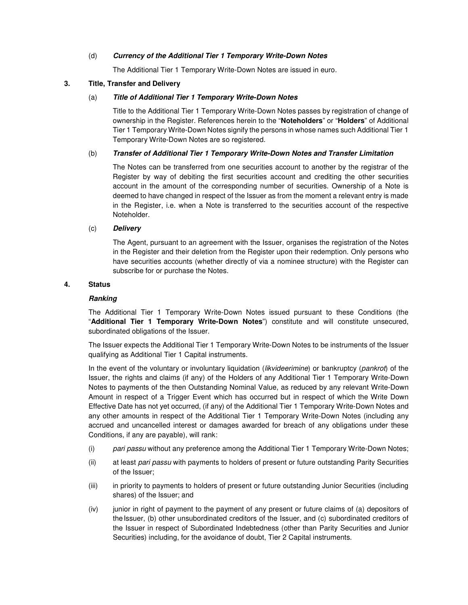## (d) **Currency of the Additional Tier 1 Temporary Write-Down Notes**

The Additional Tier 1 Temporary Write-Down Notes are issued in euro.

## **3. Title, Transfer and Delivery**

## (a) **Title of Additional Tier 1 Temporary Write-Down Notes**

Title to the Additional Tier 1 Temporary Write-Down Notes passes by registration of change of ownership in the Register. References herein to the "**Noteholders**" or "**Holders**" of Additional Tier 1 Temporary Write-Down Notes signify the persons in whose names such Additional Tier 1 Temporary Write-Down Notes are so registered.

## (b) **Transfer of Additional Tier 1 Temporary Write-Down Notes and Transfer Limitation**

The Notes can be transferred from one securities account to another by the registrar of the Register by way of debiting the first securities account and crediting the other securities account in the amount of the corresponding number of securities. Ownership of a Note is deemed to have changed in respect of the Issuer as from the moment a relevant entry is made in the Register, i.e. when a Note is transferred to the securities account of the respective Noteholder.

## (c) **Delivery**

The Agent, pursuant to an agreement with the Issuer, organises the registration of the Notes in the Register and their deletion from the Register upon their redemption. Only persons who have securities accounts (whether directly of via a nominee structure) with the Register can subscribe for or purchase the Notes.

## **4. Status**

#### **Ranking**

The Additional Tier 1 Temporary Write-Down Notes issued pursuant to these Conditions (the "**Additional Tier 1 Temporary Write-Down Notes**") constitute and will constitute unsecured, subordinated obligations of the Issuer.

The Issuer expects the Additional Tier 1 Temporary Write-Down Notes to be instruments of the Issuer qualifying as Additional Tier 1 Capital instruments.

In the event of the voluntary or involuntary liquidation *(likvideerimine)* or bankruptcy *(pankrot)* of the Issuer, the rights and claims (if any) of the Holders of any Additional Tier 1 Temporary Write-Down Notes to payments of the then Outstanding Nominal Value, as reduced by any relevant Write-Down Amount in respect of a Trigger Event which has occurred but in respect of which the Write Down Effective Date has not yet occurred, (if any) of the Additional Tier 1 Temporary Write-Down Notes and any other amounts in respect of the Additional Tier 1 Temporary Write-Down Notes (including any accrued and uncancelled interest or damages awarded for breach of any obligations under these Conditions, if any are payable), will rank:

- (i) pari passu without any preference among the Additional Tier 1 Temporary Write-Down Notes;
- (ii) at least pari passu with payments to holders of present or future outstanding Parity Securities of the Issuer;
- (iii) in priority to payments to holders of present or future outstanding Junior Securities (including shares) of the Issuer; and
- (iv) junior in right of payment to the payment of any present or future claims of (a) depositors of the Issuer, (b) other unsubordinated creditors of the Issuer, and (c) subordinated creditors of the Issuer in respect of Subordinated Indebtedness (other than Parity Securities and Junior Securities) including, for the avoidance of doubt, Tier 2 Capital instruments.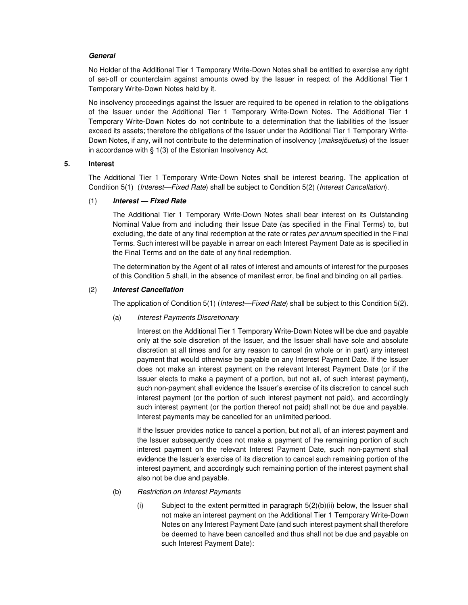## **General**

No Holder of the Additional Tier 1 Temporary Write-Down Notes shall be entitled to exercise any right of set-off or counterclaim against amounts owed by the Issuer in respect of the Additional Tier 1 Temporary Write-Down Notes held by it.

No insolvency proceedings against the Issuer are required to be opened in relation to the obligations of the Issuer under the Additional Tier 1 Temporary Write-Down Notes. The Additional Tier 1 Temporary Write-Down Notes do not contribute to a determination that the liabilities of the Issuer exceed its assets; therefore the obligations of the Issuer under the Additional Tier 1 Temporary Write-Down Notes, if any, will not contribute to the determination of insolvency (*maksejõuetus*) of the Issuer in accordance with § 1(3) of the Estonian Insolvency Act.

## **5. Interest**

The Additional Tier 1 Temporary Write-Down Notes shall be interest bearing. The application of Condition 5(1) (Interest—Fixed Rate) shall be subject to Condition 5(2) (Interest Cancellation).

## (1) **Interest — Fixed Rate**

The Additional Tier 1 Temporary Write-Down Notes shall bear interest on its Outstanding Nominal Value from and including their Issue Date (as specified in the Final Terms) to, but excluding, the date of any final redemption at the rate or rates per annum specified in the Final Terms. Such interest will be payable in arrear on each Interest Payment Date as is specified in the Final Terms and on the date of any final redemption.

The determination by the Agent of all rates of interest and amounts of interest for the purposes of this Condition 5 shall, in the absence of manifest error, be final and binding on all parties.

## (2) **Interest Cancellation**

The application of Condition 5(1) (*Interest—Fixed Rate*) shall be subject to this Condition 5(2).

(a) Interest Payments Discretionary

Interest on the Additional Tier 1 Temporary Write-Down Notes will be due and payable only at the sole discretion of the Issuer, and the Issuer shall have sole and absolute discretion at all times and for any reason to cancel (in whole or in part) any interest payment that would otherwise be payable on any Interest Payment Date. If the Issuer does not make an interest payment on the relevant Interest Payment Date (or if the Issuer elects to make a payment of a portion, but not all, of such interest payment), such non-payment shall evidence the Issuer's exercise of its discretion to cancel such interest payment (or the portion of such interest payment not paid), and accordingly such interest payment (or the portion thereof not paid) shall not be due and payable. Interest payments may be cancelled for an unlimited periood.

If the Issuer provides notice to cancel a portion, but not all, of an interest payment and the Issuer subsequently does not make a payment of the remaining portion of such interest payment on the relevant Interest Payment Date, such non-payment shall evidence the Issuer's exercise of its discretion to cancel such remaining portion of the interest payment, and accordingly such remaining portion of the interest payment shall also not be due and payable.

#### (b) Restriction on Interest Payments

 $(i)$  Subject to the extent permitted in paragraph  $5(2)(b)(ii)$  below, the Issuer shall not make an interest payment on the Additional Tier 1 Temporary Write-Down Notes on any Interest Payment Date (and such interest payment shall therefore be deemed to have been cancelled and thus shall not be due and payable on such Interest Payment Date):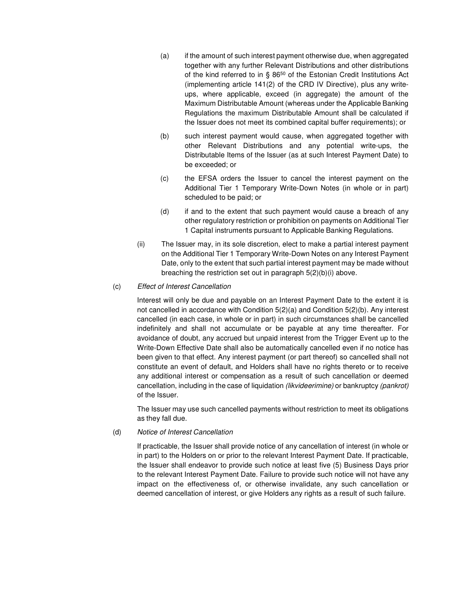- (a) if the amount of such interest payment otherwise due, when aggregated together with any further Relevant Distributions and other distributions of the kind referred to in § 86<sup>50</sup> of the Estonian Credit Institutions Act (implementing article 141(2) of the CRD IV Directive), plus any writeups, where applicable, exceed (in aggregate) the amount of the Maximum Distributable Amount (whereas under the Applicable Banking Regulations the maximum Distributable Amount shall be calculated if the Issuer does not meet its combined capital buffer requirements); or
- (b) such interest payment would cause, when aggregated together with other Relevant Distributions and any potential write-ups, the Distributable Items of the Issuer (as at such Interest Payment Date) to be exceeded; or
- (c) the EFSA orders the Issuer to cancel the interest payment on the Additional Tier 1 Temporary Write-Down Notes (in whole or in part) scheduled to be paid; or
- (d) if and to the extent that such payment would cause a breach of any other regulatory restriction or prohibition on payments on Additional Tier 1 Capital instruments pursuant to Applicable Banking Regulations.
- (ii) The Issuer may, in its sole discretion, elect to make a partial interest payment on the Additional Tier 1 Temporary Write-Down Notes on any Interest Payment Date, only to the extent that such partial interest payment may be made without breaching the restriction set out in paragraph 5(2)(b)(i) above.

## (c) Effect of Interest Cancellation

Interest will only be due and payable on an Interest Payment Date to the extent it is not cancelled in accordance with Condition 5(2)(a) and Condition 5(2)(b). Any interest cancelled (in each case, in whole or in part) in such circumstances shall be cancelled indefinitely and shall not accumulate or be payable at any time thereafter. For avoidance of doubt, any accrued but unpaid interest from the Trigger Event up to the Write-Down Effective Date shall also be automatically cancelled even if no notice has been given to that effect. Any interest payment (or part thereof) so cancelled shall not constitute an event of default, and Holders shall have no rights thereto or to receive any additional interest or compensation as a result of such cancellation or deemed cancellation, including in the case of liquidation (likvideerimine) or bankruptcy (pankrot) of the Issuer.

The Issuer may use such cancelled payments without restriction to meet its obligations as they fall due.

#### (d) Notice of Interest Cancellation

If practicable, the Issuer shall provide notice of any cancellation of interest (in whole or in part) to the Holders on or prior to the relevant Interest Payment Date. If practicable, the Issuer shall endeavor to provide such notice at least five (5) Business Days prior to the relevant Interest Payment Date. Failure to provide such notice will not have any impact on the effectiveness of, or otherwise invalidate, any such cancellation or deemed cancellation of interest, or give Holders any rights as a result of such failure.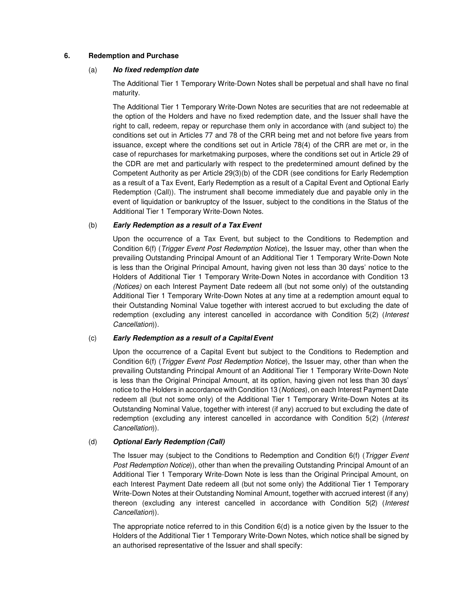## **6. Redemption and Purchase**

#### (a) **No fixed redemption date**

The Additional Tier 1 Temporary Write-Down Notes shall be perpetual and shall have no final maturity.

The Additional Tier 1 Temporary Write-Down Notes are securities that are not redeemable at the option of the Holders and have no fixed redemption date, and the Issuer shall have the right to call, redeem, repay or repurchase them only in accordance with (and subject to) the conditions set out in Articles 77 and 78 of the CRR being met and not before five years from issuance, except where the conditions set out in Article 78(4) of the CRR are met or, in the case of repurchases for marketmaking purposes, where the conditions set out in Article 29 of the CDR are met and particularly with respect to the predetermined amount defined by the Competent Authority as per Article 29(3)(b) of the CDR (see conditions for Early Redemption as a result of a Tax Event, Early Redemption as a result of a Capital Event and Optional Early Redemption (Call)). The instrument shall become immediately due and payable only in the event of liquidation or bankruptcy of the Issuer, subject to the conditions in the Status of the Additional Tier 1 Temporary Write-Down Notes.

## (b) **Early Redemption as a result of a Tax Event**

Upon the occurrence of a Tax Event, but subject to the Conditions to Redemption and Condition 6(f) (Trigger Event Post Redemption Notice), the Issuer may, other than when the prevailing Outstanding Principal Amount of an Additional Tier 1 Temporary Write-Down Note is less than the Original Principal Amount, having given not less than 30 days' notice to the Holders of Additional Tier 1 Temporary Write-Down Notes in accordance with Condition 13 (Notices) on each Interest Payment Date redeem all (but not some only) of the outstanding Additional Tier 1 Temporary Write-Down Notes at any time at a redemption amount equal to their Outstanding Nominal Value together with interest accrued to but excluding the date of redemption (excluding any interest cancelled in accordance with Condition 5(2) (Interest Cancellation)).

## (c) **Early Redemption as a result of a Capital Event**

Upon the occurrence of a Capital Event but subject to the Conditions to Redemption and Condition 6(f) (Trigger Event Post Redemption Notice), the Issuer may, other than when the prevailing Outstanding Principal Amount of an Additional Tier 1 Temporary Write-Down Note is less than the Original Principal Amount, at its option, having given not less than 30 days' notice to the Holders in accordance with Condition 13 (Notices), on each Interest Payment Date redeem all (but not some only) of the Additional Tier 1 Temporary Write-Down Notes at its Outstanding Nominal Value, together with interest (if any) accrued to but excluding the date of redemption (excluding any interest cancelled in accordance with Condition 5(2) (Interest Cancellation)).

## (d) **Optional Early Redemption (Call)**

The Issuer may (subject to the Conditions to Redemption and Condition 6(f) (*Trigger Event* Post Redemption Notice)), other than when the prevailing Outstanding Principal Amount of an Additional Tier 1 Temporary Write-Down Note is less than the Original Principal Amount, on each Interest Payment Date redeem all (but not some only) the Additional Tier 1 Temporary Write-Down Notes at their Outstanding Nominal Amount, together with accrued interest (if any) thereon (excluding any interest cancelled in accordance with Condition 5(2) (Interest Cancellation)).

The appropriate notice referred to in this Condition  $6(d)$  is a notice given by the Issuer to the Holders of the Additional Tier 1 Temporary Write-Down Notes, which notice shall be signed by an authorised representative of the Issuer and shall specify: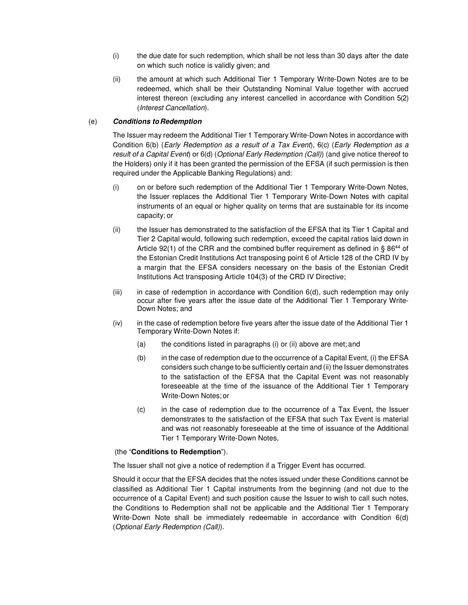- (i) the due date for such redemption, which shall be not less than 30 days after the date on which such notice is validly given; and
- (ii) the amount at which such Additional Tier 1 Temporary Write-Down Notes are to be redeemed, which shall be their Outstanding Nominal Value together with accrued interest thereon (excluding any interest cancelled in accordance with Condition 5(2) (Interest Cancellation).

## (e) **Conditions to Redemption**

The Issuer may redeem the Additional Tier 1 Temporary Write-Down Notes in accordance with Condition 6(b) (Early Redemption as a result of a Tax Event), 6(c) (Early Redemption as a result of a Capital Event) or 6(d) (Optional Early Redemption (Call)) (and give notice thereof to the Holders) only if it has been granted the permission of the EFSA (if such permission is then required under the Applicable Banking Regulations) and:

- (i) on or before such redemption of the Additional Tier 1 Temporary Write-Down Notes, the Issuer replaces the Additional Tier 1 Temporary Write-Down Notes with capital instruments of an equal or higher quality on terms that are sustainable for its income capacity; or
- (ii) the Issuer has demonstrated to the satisfaction of the EFSA that its Tier 1 Capital and Tier 2 Capital would, following such redemption, exceed the capital ratios laid down in Article 92(1) of the CRR and the combined buffer requirement as defined in §  $86^{44}$  of the Estonian Credit Institutions Act transposing point 6 of Article 128 of the CRD IV by a margin that the EFSA considers necessary on the basis of the Estonian Credit Institutions Act transposing Article 104(3) of the CRD IV Directive;
- $(iii)$  in case of redemption in accordance with Condition  $6(d)$ , such redemption may only occur after five years after the issue date of the Additional Tier 1 Temporary Write-Down Notes; and
- (iv) in the case of redemption before five years after the issue date of the Additional Tier 1 Temporary Write-Down Notes if:
	- (a) the conditions listed in paragraphs (i) or (ii) above are met; and
	- (b) in the case of redemption due to the occurrence of a Capital Event, (i) the EFSA considers such change to be sufficiently certain and (ii) the Issuer demonstrates to the satisfaction of the EFSA that the Capital Event was not reasonably foreseeable at the time of the issuance of the Additional Tier 1 Temporary Write-Down Notes; or
	- (c) in the case of redemption due to the occurrence of a Tax Event, the Issuer demonstrates to the satisfaction of the EFSA that such Tax Event is material and was not reasonably foreseeable at the time of issuance of the Additional Tier 1 Temporary Write-Down Notes,

## (the "**Conditions to Redemption**").

The Issuer shall not give a notice of redemption if a Trigger Event has occurred.

Should it occur that the EFSA decides that the notes issued under these Conditions cannot be classified as Additional Tier 1 Capital instruments from the beginning (and not due to the occurrence of a Capital Event) and such position cause the Issuer to wish to call such notes, the Conditions to Redemption shall not be applicable and the Additional Tier 1 Temporary Write-Down Note shall be immediately redeemable in accordance with Condition 6(d) (Optional Early Redemption (Call)).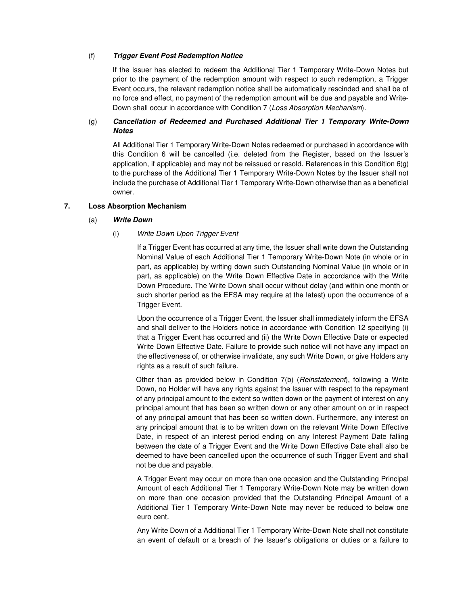## (f) **Trigger Event Post Redemption Notice**

If the Issuer has elected to redeem the Additional Tier 1 Temporary Write-Down Notes but prior to the payment of the redemption amount with respect to such redemption, a Trigger Event occurs, the relevant redemption notice shall be automatically rescinded and shall be of no force and effect, no payment of the redemption amount will be due and payable and Write-Down shall occur in accordance with Condition 7 (Loss Absorption Mechanism).

## (g) **Cancellation of Redeemed and Purchased Additional Tier 1 Temporary Write-Down Notes**

All Additional Tier 1 Temporary Write-Down Notes redeemed or purchased in accordance with this Condition 6 will be cancelled (i.e. deleted from the Register, based on the Issuer's application, if applicable) and may not be reissued or resold. References in this Condition 6(g) to the purchase of the Additional Tier 1 Temporary Write-Down Notes by the Issuer shall not include the purchase of Additional Tier 1 Temporary Write-Down otherwise than as a beneficial owner.

# **7. Loss Absorption Mechanism**

#### (a) **Write Down**

## (i) Write Down Upon Trigger Event

If a Trigger Event has occurred at any time, the Issuer shall write down the Outstanding Nominal Value of each Additional Tier 1 Temporary Write-Down Note (in whole or in part, as applicable) by writing down such Outstanding Nominal Value (in whole or in part, as applicable) on the Write Down Effective Date in accordance with the Write Down Procedure. The Write Down shall occur without delay (and within one month or such shorter period as the EFSA may require at the latest) upon the occurrence of a Trigger Event.

Upon the occurrence of a Trigger Event, the Issuer shall immediately inform the EFSA and shall deliver to the Holders notice in accordance with Condition 12 specifying (i) that a Trigger Event has occurred and (ii) the Write Down Effective Date or expected Write Down Effective Date. Failure to provide such notice will not have any impact on the effectiveness of, or otherwise invalidate, any such Write Down, or give Holders any rights as a result of such failure.

Other than as provided below in Condition  $7(b)$  (*Reinstatement*), following a Write Down, no Holder will have any rights against the Issuer with respect to the repayment of any principal amount to the extent so written down or the payment of interest on any principal amount that has been so written down or any other amount on or in respect of any principal amount that has been so written down. Furthermore, any interest on any principal amount that is to be written down on the relevant Write Down Effective Date, in respect of an interest period ending on any Interest Payment Date falling between the date of a Trigger Event and the Write Down Effective Date shall also be deemed to have been cancelled upon the occurrence of such Trigger Event and shall not be due and payable.

A Trigger Event may occur on more than one occasion and the Outstanding Principal Amount of each Additional Tier 1 Temporary Write-Down Note may be written down on more than one occasion provided that the Outstanding Principal Amount of a Additional Tier 1 Temporary Write-Down Note may never be reduced to below one euro cent.

Any Write Down of a Additional Tier 1 Temporary Write-Down Note shall not constitute an event of default or a breach of the Issuer's obligations or duties or a failure to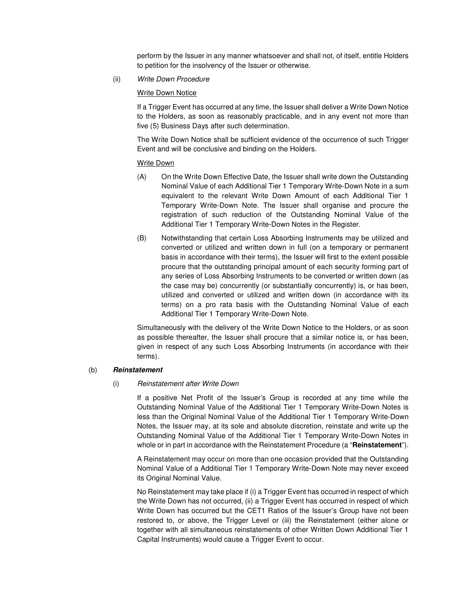perform by the Issuer in any manner whatsoever and shall not, of itself, entitle Holders to petition for the insolvency of the Issuer or otherwise.

(ii) Write Down Procedure

## Write Down Notice

If a Trigger Event has occurred at any time, the Issuer shall deliver a Write Down Notice to the Holders, as soon as reasonably practicable, and in any event not more than five (5) Business Days after such determination.

The Write Down Notice shall be sufficient evidence of the occurrence of such Trigger Event and will be conclusive and binding on the Holders.

## Write Down

- (A) On the Write Down Effective Date, the Issuer shall write down the Outstanding Nominal Value of each Additional Tier 1 Temporary Write-Down Note in a sum equivalent to the relevant Write Down Amount of each Additional Tier 1 Temporary Write-Down Note. The Issuer shall organise and procure the registration of such reduction of the Outstanding Nominal Value of the Additional Tier 1 Temporary Write-Down Notes in the Register.
- (B) Notwithstanding that certain Loss Absorbing Instruments may be utilized and converted or utilized and written down in full (on a temporary or permanent basis in accordance with their terms), the Issuer will first to the extent possible procure that the outstanding principal amount of each security forming part of any series of Loss Absorbing Instruments to be converted or written down (as the case may be) concurrently (or substantially concurrently) is, or has been, utilized and converted or utilized and written down (in accordance with its terms) on a pro rata basis with the Outstanding Nominal Value of each Additional Tier 1 Temporary Write-Down Note.

Simultaneously with the delivery of the Write Down Notice to the Holders, or as soon as possible thereafter, the Issuer shall procure that a similar notice is, or has been, given in respect of any such Loss Absorbing Instruments (in accordance with their terms).

#### (b) **Reinstatement**

#### (i) Reinstatement after Write Down

If a positive Net Profit of the Issuer's Group is recorded at any time while the Outstanding Nominal Value of the Additional Tier 1 Temporary Write-Down Notes is less than the Original Nominal Value of the Additional Tier 1 Temporary Write-Down Notes, the Issuer may, at its sole and absolute discretion, reinstate and write up the Outstanding Nominal Value of the Additional Tier 1 Temporary Write-Down Notes in whole or in part in accordance with the Reinstatement Procedure (a "**Reinstatement**").

A Reinstatement may occur on more than one occasion provided that the Outstanding Nominal Value of a Additional Tier 1 Temporary Write-Down Note may never exceed its Original Nominal Value.

No Reinstatement may take place if (i) a Trigger Event has occurred in respect of which the Write Down has not occurred, (ii) a Trigger Event has occurred in respect of which Write Down has occurred but the CET1 Ratios of the Issuer's Group have not been restored to, or above, the Trigger Level or (iii) the Reinstatement (either alone or together with all simultaneous reinstatements of other Written Down Additional Tier 1 Capital Instruments) would cause a Trigger Event to occur.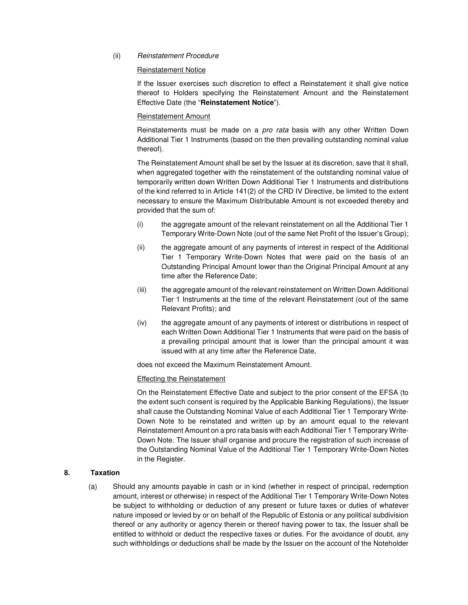## (ii) Reinstatement Procedure

#### Reinstatement Notice

If the Issuer exercises such discretion to effect a Reinstatement it shall give notice thereof to Holders specifying the Reinstatement Amount and the Reinstatement Effective Date (the "**Reinstatement Notice**").

## Reinstatement Amount

Reinstatements must be made on a *pro rata* basis with any other Written Down Additional Tier 1 Instruments (based on the then prevailing outstanding nominal value thereof).

The Reinstatement Amount shall be set by the Issuer at its discretion, save that it shall, when aggregated together with the reinstatement of the outstanding nominal value of temporarily written down Written Down Additional Tier 1 Instruments and distributions of the kind referred to in Article 141(2) of the CRD IV Directive, be limited to the extent necessary to ensure the Maximum Distributable Amount is not exceeded thereby and provided that the sum of:

- (i) the aggregate amount of the relevant reinstatement on all the Additional Tier 1 Temporary Write-Down Note (out of the same Net Profit of the Issuer's Group);
- (ii) the aggregate amount of any payments of interest in respect of the Additional Tier 1 Temporary Write-Down Notes that were paid on the basis of an Outstanding Principal Amount lower than the Original Principal Amount at any time after the Reference Date;
- (iii) the aggregate amount of the relevant reinstatement on Written Down Additional Tier 1 Instruments at the time of the relevant Reinstatement (out of the same Relevant Profits); and
- (iv) the aggregate amount of any payments of interest or distributions in respect of each Written Down Additional Tier 1 Instruments that were paid on the basis of a prevailing principal amount that is lower than the principal amount it was issued with at any time after the Reference Date,

does not exceed the Maximum Reinstatement Amount.

## Effecting the Reinstatement

On the Reinstatement Effective Date and subject to the prior consent of the EFSA (to the extent such consent is required by the Applicable Banking Regulations), the Issuer shall cause the Outstanding Nominal Value of each Additional Tier 1 Temporary Write-Down Note to be reinstated and written up by an amount equal to the relevant Reinstatement Amount on a pro rata basis with each Additional Tier 1 Temporary Write-Down Note. The Issuer shall organise and procure the registration of such increase of the Outstanding Nominal Value of the Additional Tier 1 Temporary Write-Down Notes in the Register.

## **8. Taxation**

(a) Should any amounts payable in cash or in kind (whether in respect of principal, redemption amount, interest or otherwise) in respect of the Additional Tier 1 Temporary Write-Down Notes be subject to withholding or deduction of any present or future taxes or duties of whatever nature imposed or levied by or on behalf of the Republic of Estonia or any political subdivision thereof or any authority or agency therein or thereof having power to tax, the Issuer shall be entitled to withhold or deduct the respective taxes or duties. For the avoidance of doubt, any such withholdings or deductions shall be made by the Issuer on the account of the Noteholder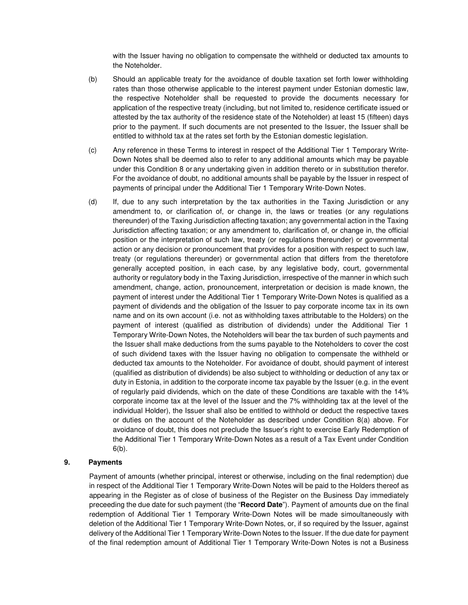with the Issuer having no obligation to compensate the withheld or deducted tax amounts to the Noteholder.

- (b) Should an applicable treaty for the avoidance of double taxation set forth lower withholding rates than those otherwise applicable to the interest payment under Estonian domestic law, the respective Noteholder shall be requested to provide the documents necessary for application of the respective treaty (including, but not limited to, residence certificate issued or attested by the tax authority of the residence state of the Noteholder) at least 15 (fifteen) days prior to the payment. If such documents are not presented to the Issuer, the Issuer shall be entitled to withhold tax at the rates set forth by the Estonian domestic legislation.
- (c) Any reference in these Terms to interest in respect of the Additional Tier 1 Temporary Write-Down Notes shall be deemed also to refer to any additional amounts which may be payable under this Condition 8 or any undertaking given in addition thereto or in substitution therefor. For the avoidance of doubt, no additional amounts shall be payable by the Issuer in respect of payments of principal under the Additional Tier 1 Temporary Write-Down Notes.
- (d) If, due to any such interpretation by the tax authorities in the Taxing Jurisdiction or any amendment to, or clarification of, or change in, the laws or treaties (or any regulations thereunder) of the Taxing Jurisdiction affecting taxation; any governmental action in the Taxing Jurisdiction affecting taxation; or any amendment to, clarification of, or change in, the official position or the interpretation of such law, treaty (or regulations thereunder) or governmental action or any decision or pronouncement that provides for a position with respect to such law, treaty (or regulations thereunder) or governmental action that differs from the theretofore generally accepted position, in each case, by any legislative body, court, governmental authority or regulatory body in the Taxing Jurisdiction, irrespective of the manner in which such amendment, change, action, pronouncement, interpretation or decision is made known, the payment of interest under the Additional Tier 1 Temporary Write-Down Notes is qualified as a payment of dividends and the obligation of the Issuer to pay corporate income tax in its own name and on its own account (i.e. not as withholding taxes attributable to the Holders) on the payment of interest (qualified as distribution of dividends) under the Additional Tier 1 Temporary Write-Down Notes, the Noteholders will bear the tax burden of such payments and the Issuer shall make deductions from the sums payable to the Noteholders to cover the cost of such dividend taxes with the Issuer having no obligation to compensate the withheld or deducted tax amounts to the Noteholder. For avoidance of doubt, should payment of interest (qualified as distribution of dividends) be also subject to withholding or deduction of any tax or duty in Estonia, in addition to the corporate income tax payable by the Issuer (e.g. in the event of regularly paid dividends, which on the date of these Conditions are taxable with the 14% corporate income tax at the level of the Issuer and the 7% withholding tax at the level of the individual Holder), the Issuer shall also be entitled to withhold or deduct the respective taxes or duties on the account of the Noteholder as described under Condition 8(a) above. For avoidance of doubt, this does not preclude the Issuer's right to exercise Early Redemption of the Additional Tier 1 Temporary Write-Down Notes as a result of a Tax Event under Condition 6(b).

## **9. Payments**

Payment of amounts (whether principal, interest or otherwise, including on the final redemption) due in respect of the Additional Tier 1 Temporary Write-Down Notes will be paid to the Holders thereof as appearing in the Register as of close of business of the Register on the Business Day immediately preceeding the due date for such payment (the "**Record Date**"). Payment of amounts due on the final redemption of Additional Tier 1 Temporary Write-Down Notes will be made simoultaneously with deletion of the Additional Tier 1 Temporary Write-Down Notes, or, if so required by the Issuer, against delivery of the Additional Tier 1 Temporary Write-Down Notes to the Issuer. If the due date for payment of the final redemption amount of Additional Tier 1 Temporary Write-Down Notes is not a Business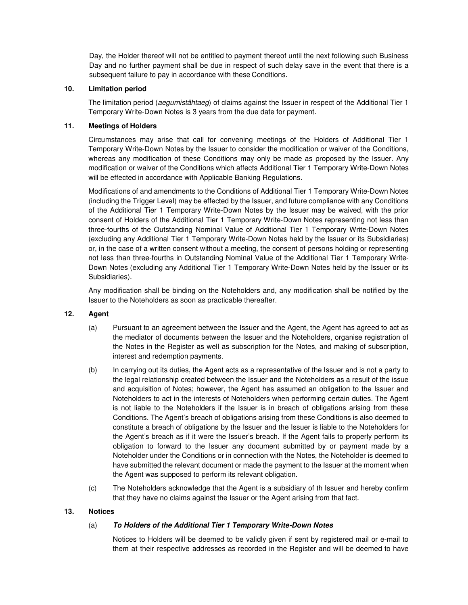Day, the Holder thereof will not be entitled to payment thereof until the next following such Business Day and no further payment shall be due in respect of such delay save in the event that there is a subsequent failure to pay in accordance with these Conditions.

## **10. Limitation period**

The limitation period (aequmistähtaeg) of claims against the Issuer in respect of the Additional Tier 1 Temporary Write-Down Notes is 3 years from the due date for payment.

## **11. Meetings of Holders**

Circumstances may arise that call for convening meetings of the Holders of Additional Tier 1 Temporary Write-Down Notes by the Issuer to consider the modification or waiver of the Conditions, whereas any modification of these Conditions may only be made as proposed by the Issuer. Any modification or waiver of the Conditions which affects Additional Tier 1 Temporary Write-Down Notes will be effected in accordance with Applicable Banking Regulations.

Modifications of and amendments to the Conditions of Additional Tier 1 Temporary Write-Down Notes (including the Trigger Level) may be effected by the Issuer, and future compliance with any Conditions of the Additional Tier 1 Temporary Write-Down Notes by the Issuer may be waived, with the prior consent of Holders of the Additional Tier 1 Temporary Write-Down Notes representing not less than three-fourths of the Outstanding Nominal Value of Additional Tier 1 Temporary Write-Down Notes (excluding any Additional Tier 1 Temporary Write-Down Notes held by the Issuer or its Subsidiaries) or, in the case of a written consent without a meeting, the consent of persons holding or representing not less than three-fourths in Outstanding Nominal Value of the Additional Tier 1 Temporary Write-Down Notes (excluding any Additional Tier 1 Temporary Write-Down Notes held by the Issuer or its Subsidiaries).

Any modification shall be binding on the Noteholders and, any modification shall be notified by the Issuer to the Noteholders as soon as practicable thereafter.

## **12. Agent**

- (a) Pursuant to an agreement between the Issuer and the Agent, the Agent has agreed to act as the mediator of documents between the Issuer and the Noteholders, organise registration of the Notes in the Register as well as subscription for the Notes, and making of subscription, interest and redemption payments.
- (b) In carrying out its duties, the Agent acts as a representative of the Issuer and is not a party to the legal relationship created between the Issuer and the Noteholders as a result of the issue and acquisition of Notes; however, the Agent has assumed an obligation to the Issuer and Noteholders to act in the interests of Noteholders when performing certain duties. The Agent is not liable to the Noteholders if the Issuer is in breach of obligations arising from these Conditions. The Agent's breach of obligations arising from these Conditions is also deemed to constitute a breach of obligations by the Issuer and the Issuer is liable to the Noteholders for the Agent's breach as if it were the Issuer's breach. If the Agent fails to properly perform its obligation to forward to the Issuer any document submitted by or payment made by a Noteholder under the Conditions or in connection with the Notes, the Noteholder is deemed to have submitted the relevant document or made the payment to the Issuer at the moment when the Agent was supposed to perform its relevant obligation.
- (c) The Noteholders acknowledge that the Agent is a subsidiary of th Issuer and hereby confirm that they have no claims against the Issuer or the Agent arising from that fact.

#### **13. Notices**

## (a) **To Holders of the Additional Tier 1 Temporary Write-Down Notes**

Notices to Holders will be deemed to be validly given if sent by registered mail or e-mail to them at their respective addresses as recorded in the Register and will be deemed to have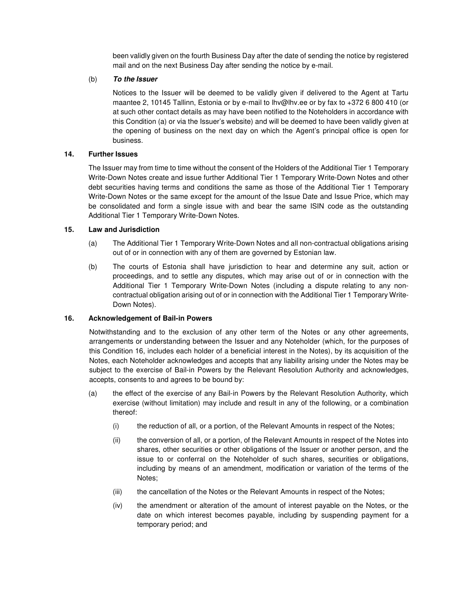been validly given on the fourth Business Day after the date of sending the notice by registered mail and on the next Business Day after sending the notice by e-mail.

## (b) **To the Issuer**

Notices to the Issuer will be deemed to be validly given if delivered to the Agent at Tartu maantee 2, 10145 Tallinn, Estonia or by e-mail to lhv@lhv.ee or by fax to +372 6 800 410 (or at such other contact details as may have been notified to the Noteholders in accordance with this Condition (a) or via the Issuer's website) and will be deemed to have been validly given at the opening of business on the next day on which the Agent's principal office is open for business.

## **14. Further Issues**

The Issuer may from time to time without the consent of the Holders of the Additional Tier 1 Temporary Write-Down Notes create and issue further Additional Tier 1 Temporary Write-Down Notes and other debt securities having terms and conditions the same as those of the Additional Tier 1 Temporary Write-Down Notes or the same except for the amount of the Issue Date and Issue Price, which may be consolidated and form a single issue with and bear the same ISIN code as the outstanding Additional Tier 1 Temporary Write-Down Notes.

## **15. Law and Jurisdiction**

- (a) The Additional Tier 1 Temporary Write-Down Notes and all non-contractual obligations arising out of or in connection with any of them are governed by Estonian law.
- (b) The courts of Estonia shall have jurisdiction to hear and determine any suit, action or proceedings, and to settle any disputes, which may arise out of or in connection with the Additional Tier 1 Temporary Write-Down Notes (including a dispute relating to any noncontractual obligation arising out of or in connection with the Additional Tier 1 Temporary Write-Down Notes).

## **16. Acknowledgement of Bail-in Powers**

Notwithstanding and to the exclusion of any other term of the Notes or any other agreements, arrangements or understanding between the Issuer and any Noteholder (which, for the purposes of this Condition 16, includes each holder of a beneficial interest in the Notes), by its acquisition of the Notes, each Noteholder acknowledges and accepts that any liability arising under the Notes may be subject to the exercise of Bail-in Powers by the Relevant Resolution Authority and acknowledges, accepts, consents to and agrees to be bound by:

- (a) the effect of the exercise of any Bail-in Powers by the Relevant Resolution Authority, which exercise (without limitation) may include and result in any of the following, or a combination thereof:
	- (i) the reduction of all, or a portion, of the Relevant Amounts in respect of the Notes;
	- (ii) the conversion of all, or a portion, of the Relevant Amounts in respect of the Notes into shares, other securities or other obligations of the Issuer or another person, and the issue to or conferral on the Noteholder of such shares, securities or obligations, including by means of an amendment, modification or variation of the terms of the Notes;
	- (iii) the cancellation of the Notes or the Relevant Amounts in respect of the Notes;
	- (iv) the amendment or alteration of the amount of interest payable on the Notes, or the date on which interest becomes payable, including by suspending payment for a temporary period; and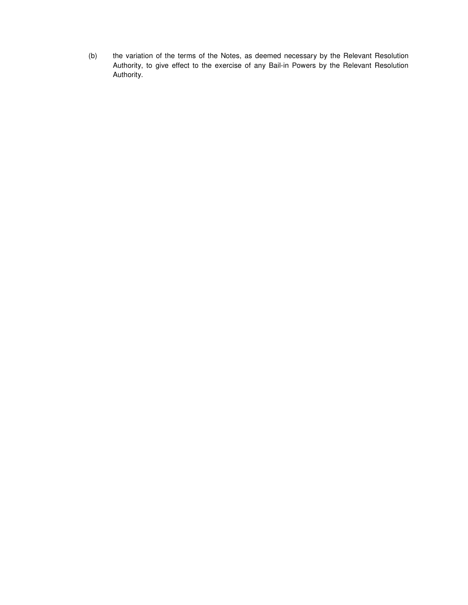(b) the variation of the terms of the Notes, as deemed necessary by the Relevant Resolution Authority, to give effect to the exercise of any Bail-in Powers by the Relevant Resolution Authority.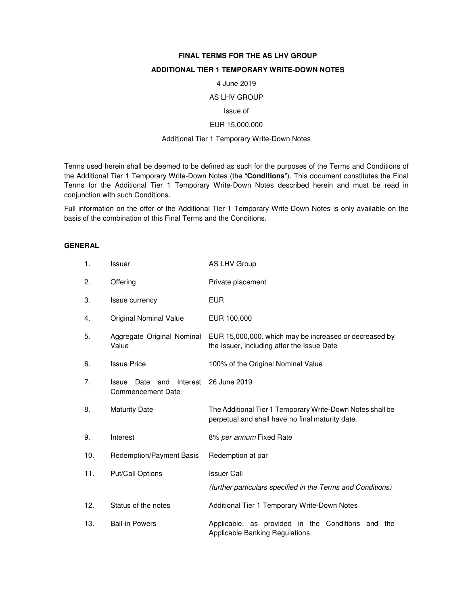## **FINAL TERMS FOR THE AS LHV GROUP**

## **ADDITIONAL TIER 1 TEMPORARY WRITE-DOWN NOTES**

#### 4 June 2019

## AS LHV GROUP

#### Issue of

#### EUR 15,000,000

#### Additional Tier 1 Temporary Write-Down Notes

Terms used herein shall be deemed to be defined as such for the purposes of the Terms and Conditions of the Additional Tier 1 Temporary Write-Down Notes (the "**Conditions**"). This document constitutes the Final Terms for the Additional Tier 1 Temporary Write-Down Notes described herein and must be read in conjunction with such Conditions.

Full information on the offer of the Additional Tier 1 Temporary Write-Down Notes is only available on the basis of the combination of this Final Terms and the Conditions.

## **GENERAL**

| 1.  | Issuer                                                       | AS LHV Group                                                                                                  |
|-----|--------------------------------------------------------------|---------------------------------------------------------------------------------------------------------------|
| 2.  | Offering                                                     | Private placement                                                                                             |
| 3.  | Issue currency                                               | <b>EUR</b>                                                                                                    |
| 4.  | <b>Original Nominal Value</b>                                | EUR 100,000                                                                                                   |
| 5.  | Aggregate Original Nominal<br>Value                          | EUR 15,000,000, which may be increased or decreased by<br>the Issuer, including after the Issue Date          |
| 6.  | <b>Issue Price</b>                                           | 100% of the Original Nominal Value                                                                            |
| 7.  | Issue<br>Date<br>and<br>Interest<br><b>Commencement Date</b> | 26 June 2019                                                                                                  |
| 8.  | <b>Maturity Date</b>                                         | The Additional Tier 1 Temporary Write-Down Notes shall be<br>perpetual and shall have no final maturity date. |
| 9.  | Interest                                                     | 8% per annum Fixed Rate                                                                                       |
| 10. | <b>Redemption/Payment Basis</b>                              | Redemption at par                                                                                             |
| 11. | Put/Call Options                                             | <b>Issuer Call</b>                                                                                            |
|     |                                                              | (further particulars specified in the Terms and Conditions)                                                   |
| 12. | Status of the notes                                          | Additional Tier 1 Temporary Write-Down Notes                                                                  |
| 13. | <b>Bail-in Powers</b>                                        | Applicable, as provided in the Conditions and<br>the<br><b>Applicable Banking Regulations</b>                 |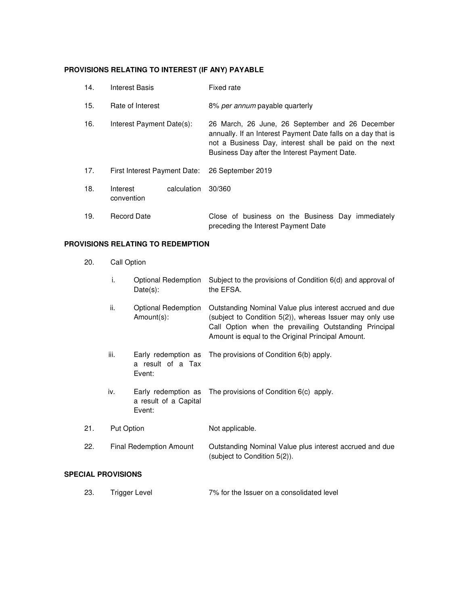## **PROVISIONS RELATING TO INTEREST (IF ANY) PAYABLE**

| 14. | <b>Interest Basis</b>        |             | Fixed rate                                                                                                                                                                                                                 |
|-----|------------------------------|-------------|----------------------------------------------------------------------------------------------------------------------------------------------------------------------------------------------------------------------------|
| 15. | Rate of Interest             |             | 8% per annum payable quarterly                                                                                                                                                                                             |
| 16. | Interest Payment Date(s):    |             | 26 March, 26 June, 26 September and 26 December<br>annually. If an Interest Payment Date falls on a day that is<br>not a Business Day, interest shall be paid on the next<br>Business Day after the Interest Payment Date. |
| 17. | First Interest Payment Date: |             | 26 September 2019                                                                                                                                                                                                          |
| 18. | Interest<br>convention       | calculation | 30/360                                                                                                                                                                                                                     |
| 19. | <b>Record Date</b>           |             | Close of business on the Business Day immediately<br>preceding the Interest Payment Date                                                                                                                                   |

## **PROVISIONS RELATING TO REDEMPTION**

- 20. Call Option
	- i. Optional Redemption Subject to the provisions of Condition 6(d) and approval of Date(s): the EFSA.
	- ii. Coptional Redemption Cutstanding Nominal Value plus interest accrued and due Amount(s): (subject to Condition 5(2)), whereas Issuer may only use Call Option when the prevailing Outstanding Principal Amount is equal to the Original Principal Amount.
	- iii. Early redemption as a result of a Tax Event: The provisions of Condition 6(b) apply.
	- iv. Early redemption as The provisions of Condition 6(c) apply. a result of a Capital Event:

21. Put Option Not applicable.

22. Final Redemption Amount Outstanding Nominal Value plus interest accrued and due (subject to Condition 5(2)).

#### **SPECIAL PROVISIONS**

23. Trigger Level 7% for the Issuer on a consolidated level